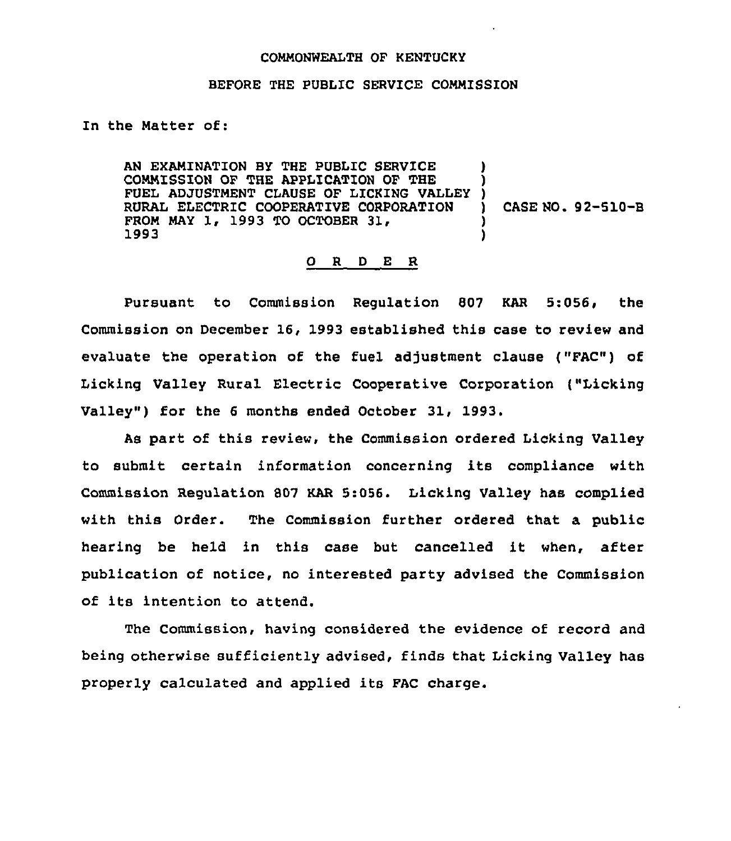## COMMONWEALTH OF KENTUCKY

## BEFORE THE PUBLIC SERVICE COMMISSION

In the Matter of:

AN EXAMINATION BY THE PUBLIC SERVICE COMMISSION OF THE APPLICATION OF THE FUEL ADJUSTMENT CLAUSE OF LICKING VALLEY RURAL ELECTRIC COOPERATIVE CORPORATION FROM MAY 1, 1993 TO OCTOBER 31,<br>1993 **ן** ) ) ) CASE NO. 92-510-B ) )

## 0 <sup>R</sup> <sup>D</sup> E R

Pursuant to Commission Regulation 807 KAR 5:056, the Commission on December 16, 1993 established this case to review and evaluate the operation of the fuel adjustment clause ("FAC") of Licking Valley Rural Electric Cooperative Corporation ("Licking Valley") for the 6 months ended October 31, 1993.

As part of this review, the Commission ordered Licking Valley to submit certain information concerning its compliance with Commission Regulation 807 KAR 5:056. Licking Valley has complied with this Order. The Commission further ordered that a public hearing be held in this case but cancelled it when, after publication of notice, no interested party advised the Commission of its intention to attend.

The Commission, having considered the evidence of record and being otherwise sufficiently advised, finds that Licking Valley has properly calculated and applied its FAC charge.